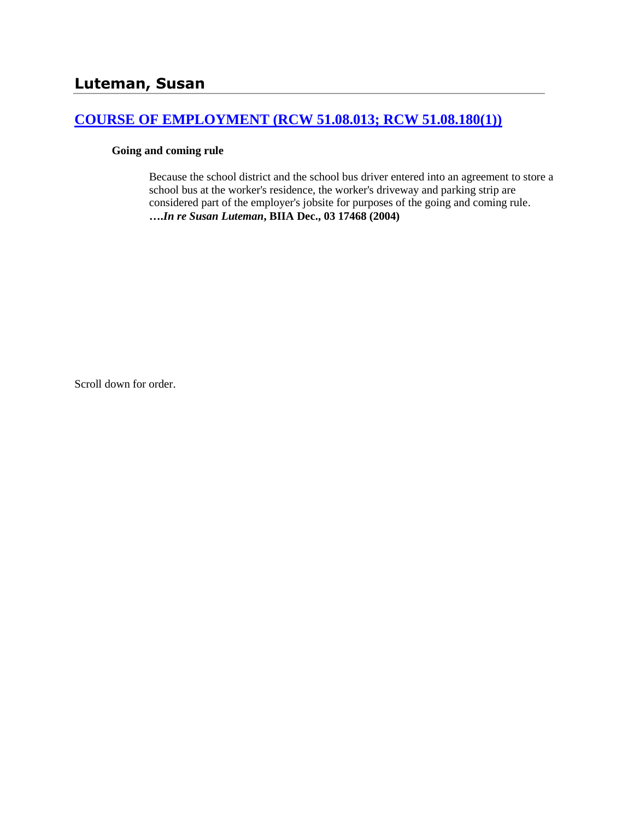## **[COURSE OF EMPLOYMENT \(RCW 51.08.013; RCW 51.08.180\(1\)\)](http://www.biia.wa.gov/SDSubjectIndex.html#COURSE_OF_EMPLOYMENT)**

#### **Going and coming rule**

Because the school district and the school bus driver entered into an agreement to store a school bus at the worker's residence, the worker's driveway and parking strip are considered part of the employer's jobsite for purposes of the going and coming rule. **….***In re Susan Luteman***, BIIA Dec., 03 17468 (2004)** 

Scroll down for order.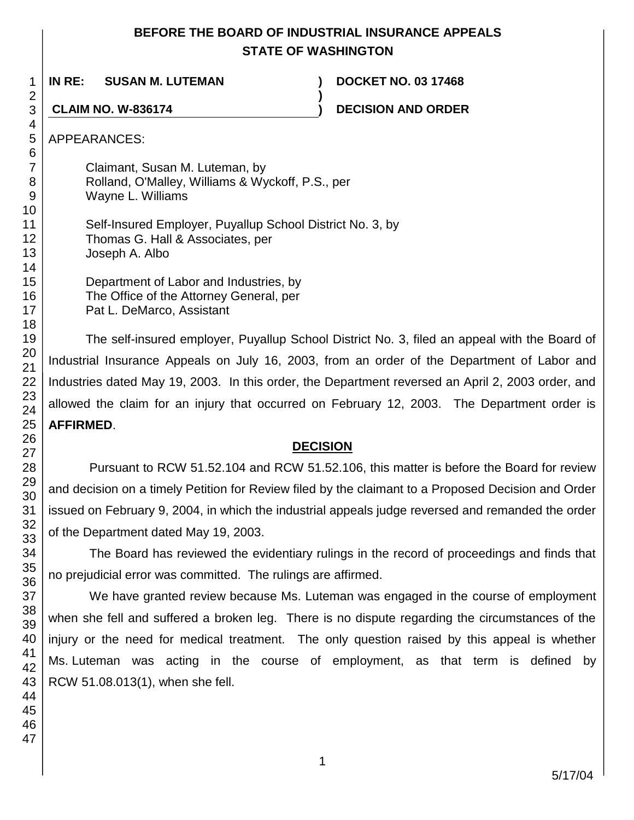# **BEFORE THE BOARD OF INDUSTRIAL INSURANCE APPEALS STATE OF WASHINGTON**

**)**

**IN RE: SUSAN M. LUTEMAN ) DOCKET NO. 03 17468**

**CLAIM NO. W-836174 ) DECISION AND ORDER**

APPEARANCES:

Claimant, Susan M. Luteman, by Rolland, O'Malley, Williams & Wyckoff, P.S., per Wayne L. Williams

Self-Insured Employer, Puyallup School District No. 3, by Thomas G. Hall & Associates, per Joseph A. Albo

Department of Labor and Industries, by The Office of the Attorney General, per Pat L. DeMarco, Assistant

The self-insured employer, Puyallup School District No. 3, filed an appeal with the Board of Industrial Insurance Appeals on July 16, 2003, from an order of the Department of Labor and Industries dated May 19, 2003. In this order, the Department reversed an April 2, 2003 order, and allowed the claim for an injury that occurred on February 12, 2003. The Department order is **AFFIRMED**.

# **DECISION**

Pursuant to RCW 51.52.104 and RCW 51.52.106, this matter is before the Board for review and decision on a timely Petition for Review filed by the claimant to a Proposed Decision and Order issued on February 9, 2004, in which the industrial appeals judge reversed and remanded the order of the Department dated May 19, 2003.

The Board has reviewed the evidentiary rulings in the record of proceedings and finds that no prejudicial error was committed. The rulings are affirmed.

We have granted review because Ms. Luteman was engaged in the course of employment when she fell and suffered a broken leg. There is no dispute regarding the circumstances of the injury or the need for medical treatment. The only question raised by this appeal is whether Ms. Luteman was acting in the course of employment, as that term is defined by RCW 51.08.013(1), when she fell.

1 2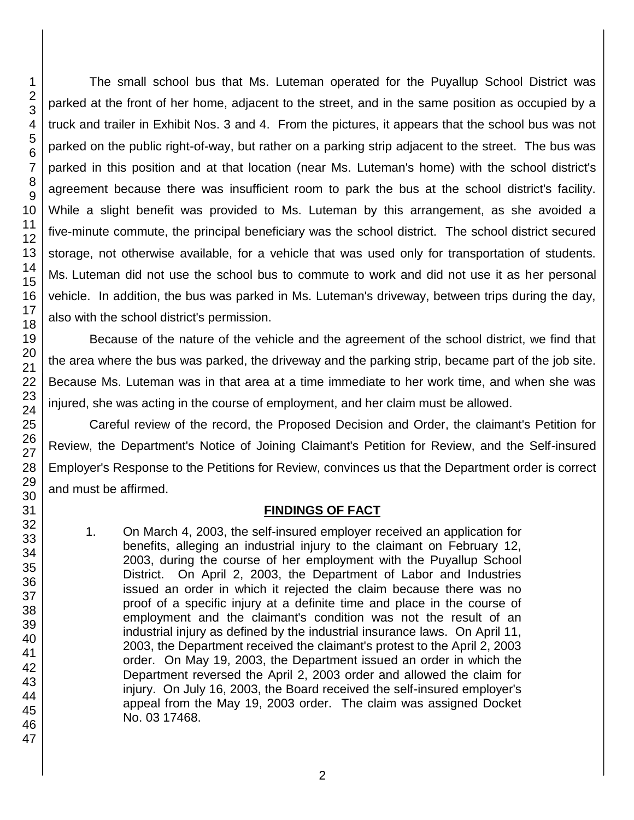The small school bus that Ms. Luteman operated for the Puyallup School District was parked at the front of her home, adjacent to the street, and in the same position as occupied by a truck and trailer in Exhibit Nos. 3 and 4. From the pictures, it appears that the school bus was not parked on the public right-of-way, but rather on a parking strip adjacent to the street. The bus was parked in this position and at that location (near Ms. Luteman's home) with the school district's agreement because there was insufficient room to park the bus at the school district's facility. While a slight benefit was provided to Ms. Luteman by this arrangement, as she avoided a five-minute commute, the principal beneficiary was the school district. The school district secured storage, not otherwise available, for a vehicle that was used only for transportation of students. Ms. Luteman did not use the school bus to commute to work and did not use it as her personal vehicle. In addition, the bus was parked in Ms. Luteman's driveway, between trips during the day, also with the school district's permission.

Because of the nature of the vehicle and the agreement of the school district, we find that the area where the bus was parked, the driveway and the parking strip, became part of the job site. Because Ms. Luteman was in that area at a time immediate to her work time, and when she was injured, she was acting in the course of employment, and her claim must be allowed.

Careful review of the record, the Proposed Decision and Order, the claimant's Petition for Review, the Department's Notice of Joining Claimant's Petition for Review, and the Self-insured Employer's Response to the Petitions for Review, convinces us that the Department order is correct and must be affirmed.

#### **FINDINGS OF FACT**

1. On March 4, 2003, the self-insured employer received an application for benefits, alleging an industrial injury to the claimant on February 12, 2003, during the course of her employment with the Puyallup School District. On April 2, 2003, the Department of Labor and Industries issued an order in which it rejected the claim because there was no proof of a specific injury at a definite time and place in the course of employment and the claimant's condition was not the result of an industrial injury as defined by the industrial insurance laws. On April 11, 2003, the Department received the claimant's protest to the April 2, 2003 order. On May 19, 2003, the Department issued an order in which the Department reversed the April 2, 2003 order and allowed the claim for injury. On July 16, 2003, the Board received the self-insured employer's appeal from the May 19, 2003 order. The claim was assigned Docket No. 03 17468.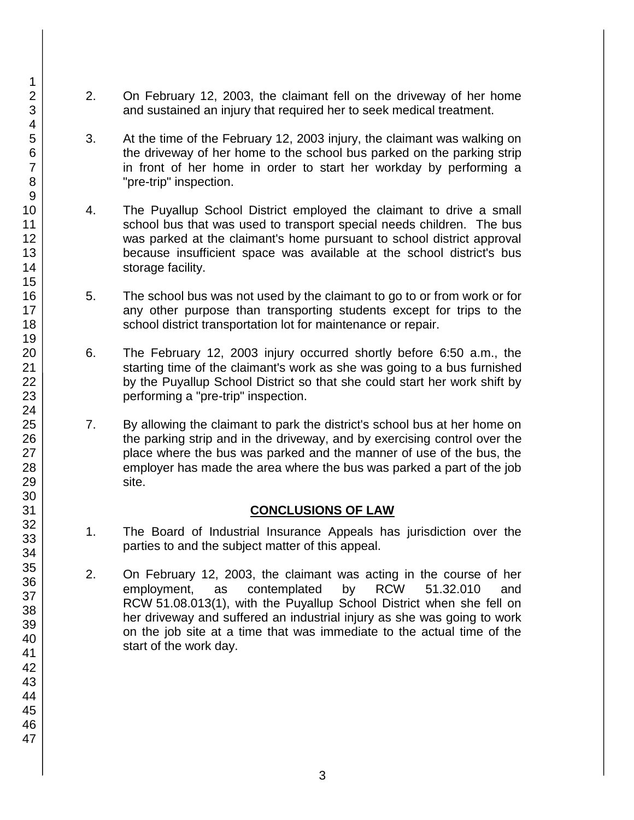- 2. On February 12, 2003, the claimant fell on the driveway of her home and sustained an injury that required her to seek medical treatment.
- 3. At the time of the February 12, 2003 injury, the claimant was walking on the driveway of her home to the school bus parked on the parking strip in front of her home in order to start her workday by performing a "pre-trip" inspection.
- 4. The Puyallup School District employed the claimant to drive a small school bus that was used to transport special needs children. The bus was parked at the claimant's home pursuant to school district approval because insufficient space was available at the school district's bus storage facility.
- 5. The school bus was not used by the claimant to go to or from work or for any other purpose than transporting students except for trips to the school district transportation lot for maintenance or repair.
- 6. The February 12, 2003 injury occurred shortly before 6:50 a.m., the starting time of the claimant's work as she was going to a bus furnished by the Puyallup School District so that she could start her work shift by performing a "pre-trip" inspection.
- 7. By allowing the claimant to park the district's school bus at her home on the parking strip and in the driveway, and by exercising control over the place where the bus was parked and the manner of use of the bus, the employer has made the area where the bus was parked a part of the job site.

## **CONCLUSIONS OF LAW**

- 1. The Board of Industrial Insurance Appeals has jurisdiction over the parties to and the subject matter of this appeal.
- 2. On February 12, 2003, the claimant was acting in the course of her employment, as contemplated by RCW 51.32.010 and RCW 51.08.013(1), with the Puyallup School District when she fell on her driveway and suffered an industrial injury as she was going to work on the job site at a time that was immediate to the actual time of the start of the work day.